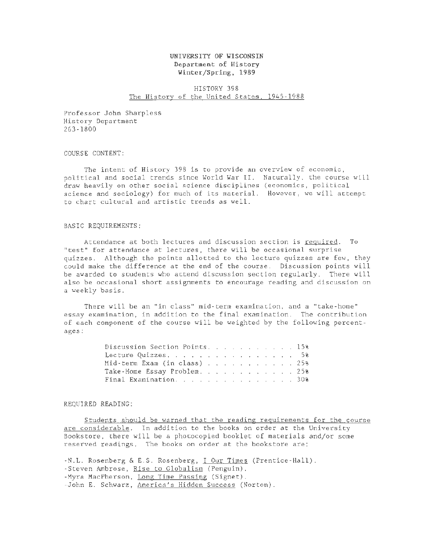## UNIVERSITY OF WISCONSIN Department of History Winter/Spring, 1989

# HISTORY 398 The History of the United States, 1945-1988

Professor John Sharpless History Department 263-1800

COURSE CONTENT:

The intent of History 398 is to provide an overview of economic, political and social trends since World War II. Naturally, the course will draw heavily on other social science disciplines (economics, political science and sociology) for much of its material. However, we will attempt to chart cultural and artistic trends as well.

### BASIC REQUIREMENTS:

Attendance at both lectures and discussion section is required. To "test" for attendance at lectures, there will be occasional surprise quizzes. Although the points allotted to the lecture quizzes are few, they could make the difference at the end of the course. Discussion points will be awarded to students who attend discussion section regularly. There will also be occasional short assignments to encourage reading and discussion on *a* weekly basis.

There will be an "in class" mid-term examination, and a "take-home" essay examination, in addition to the final examination. The contribution of each component of the course will be weighted by the following percentages:

| Discussion Section Points. 15%                                             |  |  |  |  |  |  |
|----------------------------------------------------------------------------|--|--|--|--|--|--|
| Lecture Quizzes, $\ldots$ , $\ldots$ , $\ldots$ , $\ldots$ , $\ldots$ , 5% |  |  |  |  |  |  |
| Mid-term Exam (in class) $\ldots$ $\ldots$ $\ldots$ $\ldots$ $\ldots$ 25%  |  |  |  |  |  |  |
| Take-Home Essay Problem. 25%                                               |  |  |  |  |  |  |
| Final Examination. 30%                                                     |  |  |  |  |  |  |

#### REQUIRED READING:

Students should be warned that the reading requirements for the course are considerable. In addition to the books on order at the University Bookstore, there will be a photocopied booklet of materials and/or some reserved readings. The books on order at the bookstore are:

-N.L. Rosenberg & E.S. Rosenberg, I Our Times (Prentice-Hall). -Steven Ambrose, Rise to Globalism (Penguin). -Myra MacPherson, Long Time Passing (Signet). -John E. Schwarz, America's Hidden Success (Norton).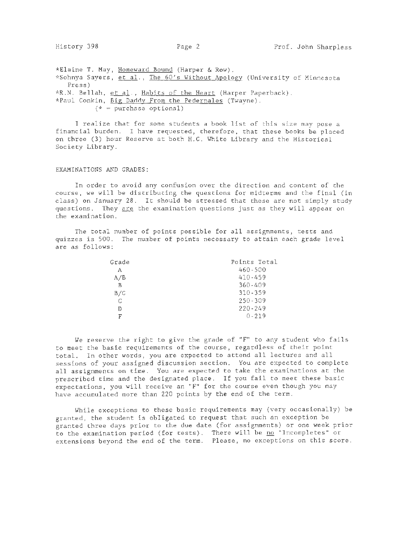\*Elaine T. May, Homeward Bound (Harper & Row). \*Sohnya Sayers, et al., The 60's Without Apology (University of Minnesota Press) \*R.N. Bellah, et al., Habits of the Heart (Harper Paperback). \*Paul Conkin, Big Daddy From the Pedernales (Twayne).  $(* = purchase optional)$ 

I realize that for some students a book list of this size may pose a financial burden. I have requested, therefore, that these books be placed on three (3) hour Reserve at both H.C. White Library and the Historical Society Library.

# EXAMINATIONS AND GRADES:

In order to avoid any confusion over the direction and content of the course, we will be distributing the questions for midterms and the final (in class) on January 28. It should be stressed that these are not simply study questions. They are the examination questions just as they will appear on the examination.

The total number of points possible for all assignments, tests and quizzes is 500. The number of points necessary to attain each grade level are as follows:

| Grade | Points Total |
|-------|--------------|
| А     | $460 - 500$  |
| A/B   | 410-459      |
| R     | $360 - 409$  |
| B/C   | $310 - 359$  |
| C     | $250 - 309$  |
| D     | $220 - 249$  |
| F     | $0 - 219$    |

We reserve the right to give the grade of "F" to any student who fails to meet the basic requirements of the course, regardless of their point total. In other words, you are expected to attend all lectures and all sessions of your assigned discussion section. You are expected to complete all assignments on time. You are expected to take the examinations at the prescribed time and the designated place. If you fail to meet these basic expectations, you will receive an "F" for the course even though you may have accumulated more than 220 points by the end of the term.

While exceptions to these basic requirements may (very occasionally) be granted, the student is obligated to request that such an exception be granted three days prior to the due date (for assignments) or one week prior to the examination period (for tests). There will be no "Incompletes" or extensions beyond the end of the term. Please, no exceptions on this score.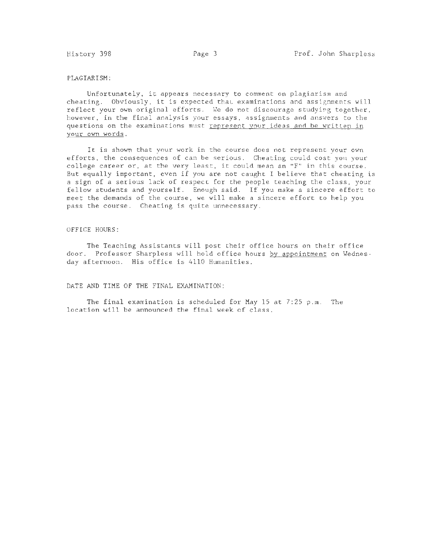### PLAGIARISM:

Unfortunately, it appears necessary to comment on plagiarism and cheating. Obviously, it is expected that examinations and assignments will reflect your own original efforts. We do not discourage studying together, however, in the final analysis your essays, assignments and answers to the questions on the examinations must represent your ideas and be written in your own words.

It is shown that your work in the course does not represent your own efforts, the consequences of can be serious. Cheating could cost you your college career or, at the very least, it could mean an "F" in this course. But equally important, even if you are not caught I believe that cheating is a sign of a serious lack of respect for the people teaching the class, your fellow students and yourself. Enough said. If you make a sincere effort to meet the demands of the course, we will make a sincere effort to help you pass the course. Cheating is quite unnecessary.

#### OFFICE HOURS:

The Teaching Assistants will post their office hours on their office door. Professor Sharpless will hold office hours by appointment on Wednesday afternoon. His office is 4110 Humanities.

DATE AND TIME OF THE FINAL EXAMINATION:

The final examination is scheduled for May 15 at  $7:25$  p.m. The location will be announced the final week of class.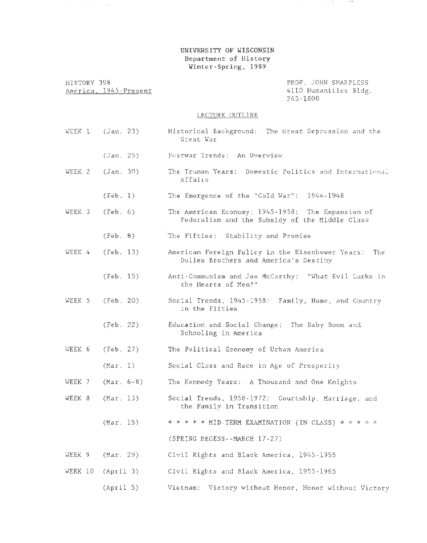# UNIVERSITY OF WISCONSIN Department of History Winter-Spring, 1989

 $\sim$  .

 $\sim$ 

HISTORY 398 America. 1945-Present WEEK  $1$  (Jan. 23)  $(Jan. 25)$ WEEK 2 (Jan. 30) (Feb. 1) WEEK 3 (Feb. 6) (Feb. 8) WEEK  $4$  (Feb. 13) (Feb. 15) WEEK 5 (Feb. 20) (Feb. 22) WEEK 6 (Feb. 27) (Mar. 1) WEEK 7 (Mar. 6-8) WEEK 8 (Mar. 13) (Mar. 15) WEEK 9 (Mar. 29) WEEK 10 (April 3) LECTURE OUTLINE PROF. JOHN SHARPLESS 4110 Humanities Bldg. 263-1800 Historical Background: The Great Depression and the Great War Postwar Trends: An Overview The Truman Years: Domestic Politics and International Affairs The Emergence of the "Cold War": 1944-1948 The American Economy; 1945-1958: The Expansion of Federalism and the Subsidy of the Middle Class The Fifties: Stability and Promise American Foreign Policy in the Eisenhower Years: The Dulles Brothers and America's Destiny Anti-Communism and Joe McCarthy: "What Evil Lurks in the Hearts of Men?" Social Trends, 1945-1958: Family, Home, and Country in the Fifties Education and Social Change: The Baby Boom and Schooling in America The Political Economy of Urban America Social Class and Race in Age of Prosperity The Kennedy Years: A Thousand and One Knights Social Trends, 1958-1972: Courtship, Marriage, and the Family in Transition \* \* \* \* \* MID-TERM EXAMINATION (IN CLASS) \* \* \* \* \* (SPRING RECESS--MARCH 17-27) Civil Rights and Black America, 1945-1955 Civil Rights and Black America, 1955-1965

(April 5) Vietnam: Victory without Honor, Honor without Victory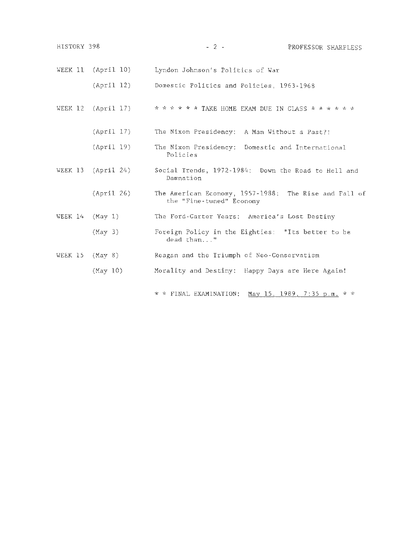| HISTORY 398           | $-2-$<br>PROFESSOR SHARPLESS                                                      |
|-----------------------|-----------------------------------------------------------------------------------|
| WEEK 11<br>(April 10) | Lyndon Johnson's Politics of War                                                  |
| (Apri1 12)            | Domestic Politics and Policies, 1963-1968                                         |
| WEEK 12<br>(Apri1 17) | * * * * * * TAKE HOME EXAM DUE IN CLASS * * * * * *                               |
| (April 17)            | The Nixon Presidency:<br>A Man Without a Past?!                                   |
| (April 19)            | The Nixon Presidency: Domestic and International<br>Policies                      |
| WEEK 13 (April 24)    | Social Trends, 1972-1984: Down the Road to Hell and<br>Damnation                  |
| (April 26)            | The American Economy, 1957-1988: The Rise and Fall of<br>the "Fine-tuned" Economy |
| WEEK 14<br>(May 1)    | The Ford-Carter Years: America's Lost Destiny                                     |
| (May 3)               | Foreign Policy in the Eighties: "Its better to be<br>dead than"                   |
| WEEK 15<br>(May 8)    | Reagan and the Triumph of Neo-Conservatism                                        |
| (May 10)              | Morality and Destiny: Happy Days are Here Again!                                  |
|                       | May 15, 1989, 7:35 p.m. $*$ *<br>$\star$ $\star$ FINAL EXAMINATION:               |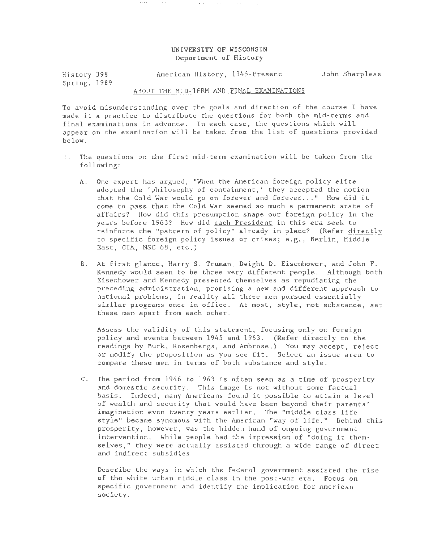# UNIVERSITY OF WISCONSIN Department of History

 $\sim$   $\sim$ 

 $\mathcal{O}(2\pi\log n)$  . The contribution of the contribution of  $\mathcal{O}(2\pi\log n)$ 

 $\ldots$  .  $\ldots$ 

History 398 Spring, 1989 American History, 1945-Present John Sharpless

#### ABOUT THE MID-TERM AND FINAL EXAMINATIONS

To avoid misunderstanding over the goals and direction of the course I have made it a practice to distribute the questions for both the mid-terms and final examinations in advance. In each case, the questions which will appear on the examination will be taken from the list of questions provided below.

- I. The questions on the first mid-term examination will be taken from the following:
	- A. One expert has argued, "When the American foreign policy elite adopted the 'philosophy of containment,' they accepted the notion that the Cold War would go on forever and forever ... " How did it come to pass that the Cold 'War seemed so much a permanent state of affairs? How did this presumption shape our foreign policy in the years before 1963? How did each President in this era seek to reinforce the "pattern of policy" already in place? (Refer directly to specific foreign policy issues or crises; e.g., Berlin, Middle East, CIA, NSC 68, etc.)
	- B. At first glance, Harry S. Truman, Dwight D. Eisenhower, and John F. Kennedy would seen to be three very different people. Although both Eisenhower and Kennedy presented themselves as repudiating the preceding administration, promising a new and different approach to national problems, in reality all three men pursued essentially similar programs once in office. At most, style, not substance, set these men apart from each other.

Assess the validity of this statement, focusing only on foreign policy and events between 1945 and 1963. (Refer directly to the readings by Burk, Rosenbergs, and Ambrose.) You may accept, reject or modify the proposition as you see fit. Select an issue area to compare these men in terms of both substance and style.

C. The period from 1946 to 1963 is often seen as a time of prosperity and domestic security. This image is not without some factual basis. Indeed, many Americans found it possible to attain a level of wealth and security that would have been beyond their parents' imagination even twenty years earlier. The "middle class life style" became synomous with the American "way of life." Behind this prosperity, however, was the hidden hand of ongoing government intervention. While people had the impression of "doing it themselves," they were actually assisted through a wide range of direct and indirect subsidies.

Describe the ways in which the federal government assisted the rise of the white urban middle class in the post-war era. Focus on specific government and identify the implication for American society.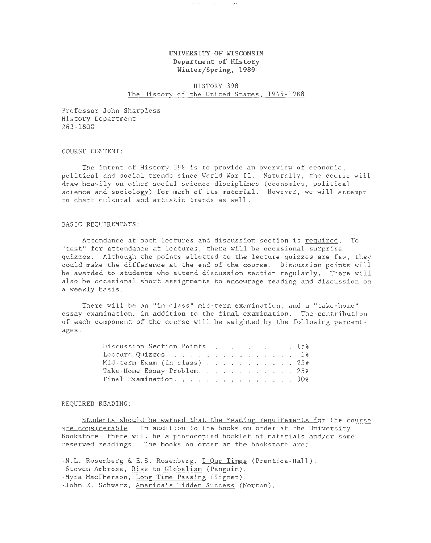# UNIVERSITY OF WISCONSIN Department of History Winter/Spring, 1989

 $\sim$   $\sim$   $\sim$ 

## HISTORY 398 The History of the United States, 1945-1988

Professor John Sharpless History Department 263-1800

COURSE CONTENT:

The intent of History 398 is to provide an overview of economic, political and social trends since World War II. Naturally, the course will draw heavily on other social science disciplines (economics, political science and sociology) for much of its material. However, we will attempt to chart cultural and artistic trends as well.

#### BASIC REQUIREMENTS:

Attendance at both lectures and discussion section is required. To "test" for attendance at lectures, there will be occasional surprise quizzes. Although the points allotted to the lecture quizzes are few, they could make the difference at the end of the course. Discussion points will be awarded to students who attend discussion section regularly. There will also be occasional short assignments to encourage reading and discussion on a weekly basis.

There will be an "in class" mid-term examination, and a "take-home" essay examination, in addition to the final examination. The contribution of each component of the course will be weighted by the following percentages:

| Discussion Section Points. 15%                                                |  |  |  |  |  |  |
|-------------------------------------------------------------------------------|--|--|--|--|--|--|
| Lecture Quizzes. 5%                                                           |  |  |  |  |  |  |
| Mid-term Exam (in class) $\ldots$ $\ldots$ $\ldots$ $\ldots$ $\ldots$ 25%     |  |  |  |  |  |  |
| Take-Home Essay Problem. 25%                                                  |  |  |  |  |  |  |
| Final Examination, $\ldots$ , $\ldots$ , $\ldots$ , $\ldots$ , $\ldots$ , 30% |  |  |  |  |  |  |
|                                                                               |  |  |  |  |  |  |

#### REQUIRED READING:

Students should be warned that the reading requirements for the course are considerable. In addition to the books on order at the University Bookstore, there will be a photocopied booklet of materials and/or some reserved readings. The books on order at the bookstore are:

-N.L. Rosenberg & E.S. Rosenberg, I Our Times (Prentice-Hall). -Steven Ambrose, Rise to Globalism (Penguin). -Myra MacPherson, Long Time Passing (Signet). -John E. Schwarz, America's Hidden Success (Norton).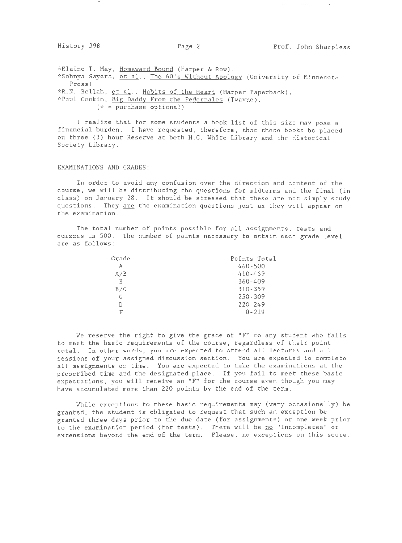$\alpha_{\rm{max}}=1.11$  and  $\beta_{\rm{max}}=1.11$ 

\*Elaine T. May, Homeward Bound (Harper & Row). \*Sohnya Sayers, et al., The 60's Without Apology (University of Minnesota Press) \*R.N. Bellah, et al., Habits of the Heart (Harper Paperback). \*Paul Conkin, Big Daddy From the Pedernales (Twayne).  $(* = purchase optional)$ 

I realize that for some students a book list of this size may pose a financial burden. I have requested, therefore, that these books be placed on three (3) hour Reserve at both H.C. White Library and the Historical Society Library.

#### EXAMINATIONS AND GRADES:

In order to avoid any confusion over the direction and content of the course, we will be distributing the questions for midterms and the final (in class) on January 28. It should be stressed that these are not simply study questions. They are the examination questions just as they will appear on the examination.

The total number of points possible for all assignments, tests and quizzes is 500. The number of points necessary to attain each grade level are as follows:

| Grade | Points Total |
|-------|--------------|
| Α     | $460 - 500$  |
| A/B   | 410-459      |
| B     | $360 - 409$  |
| B/C   | $310 - 359$  |
| G     | $250 - 309$  |
| D     | $220 - 249$  |
| г     | $0 - 219$    |

We reserve the right to give the grade of "F" to any student who fails to meet the basic requirements of the course, regardless of their point total. In other words, you are expected to attend all lectures and all sessions of your assigned discussion section. You are expected to complete all assignments on time. You are expected to take the examinations at the prescribed time and the designated place. If you fail to meet these basic expectations, you will receive an "F" for the course even though you may have accumulated more than 220 points by the end of the term.

While exceptions to these basic requirements may (very occasionally) be granted, the student is obligated to request that such an exception be granted three days prior to the due date (for assignments) or one week prior to the examination period (for tests). There will be <u>no</u> "Incompletes" or extensions beyond the end of the term. Please, no exceptions on this score.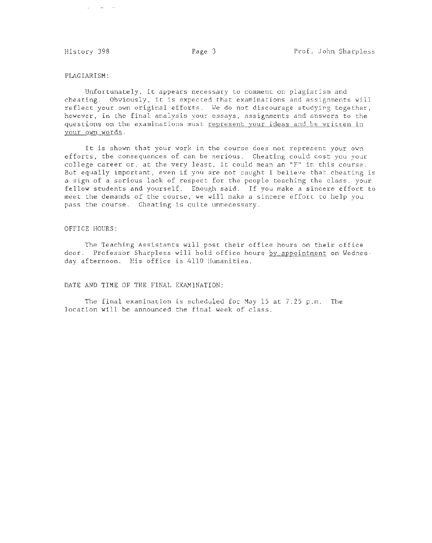$\alpha_{\rm{max}}$  and  $\alpha_{\rm{max}}$ 

### PLAGIARISM:

Unfortunately, it appears necessary to comment on plagiarism and cheating. Obviously, it is expected that examinations and assignments will reflect your own original efforts. We do not discourage studying together, however, in the final analysis your essays, assignments and answers to the questions on the examinations must represent your ideas and be written in your own words .

It is shown that your work in the course does not represent your own efforts, the consequences of can be serious. Cheating could cost you your college career or, at the very least, it could mean an "F" in this course. But equally important, even if you are not caught I believe that cheating is a sign of a serious lack of respect for the people teaching the class, your fellow students and yourself. Enough said. If you make a sincere effort to meet the demands of the course, we will make a sincere effort to help you pass the course. Cheating is quite unnecessary.

#### OFFICE HOURS:

The Teaching Assistants will post their office hours on their office door. Professor Sharpless will hold office hours by appointment on Wednesday afternoon. His office is 4110 Humanities.

DATE AND TIME OF THE FINAL EXAMINATION:

The final examination is scheduled for May 15 at  $7:25$  p.m. The location will be announced the final week of class.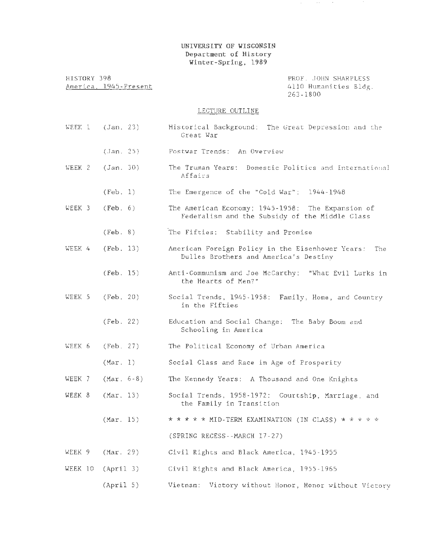# UNIVERSITY OF WISCONSIN Department of History Winter-Spring, 1989

HISTORY 398 America. 1945-Present PROF. JOHN SHARPLESS 4110 Humanities Bldg. 263-1800

 $\sim$ 

### LECTURE OUTLINE

- WEEK  $1$  (Jan. 23) (Jan. 25) WEEK 2 (Jan. 30) (Feb. 1) WEEK  $3$  (Feb.  $6$ ) (Feb. 8) WEEK 4 (Feb. 13) (Feb. 15) WEEK 5 (Feb. 20) (Feb. 22) WEEK 6 (Feb. 27) (Mar. 1) WEEK 7 (Mar. 6-8) WEEK 8 (Mar. 13) Historical Background: The Great Depression and the Great War Postwar Trends: An Overview The Truman Years: Domestic Politics and International Affairs The Emergence of the "Cold War": 1944-1948 The American Economy; 1945-1958: The Expansion of Federalism and the Subsidy of the Middle Class The Fifties: Stability and Promise American Foreign Policy in the Eisenhower Years: The Dulles Brothers and America's Destiny Anti-Communism and Joe McCarthy: "What Evil Lurks in the Hearts of Men?" Social Trends, 1945-1958: Family, Home, and Country in the Fifties Education and Social Change: The Baby Boom and Schooling in America The Political Economy of Urban America Social Class and Race in Age of Prosperity The Kennedy Years: A Thousand and One Knights Social Trends, 1958-1972: Courtship, Marriage, and the Family in Transition
	- (Mar. 15)  $* * * * MID-TERM$  EXAMINATION (IN CLASS)  $* * * * *$ (SPRING RECESS--MARCH 17-27)
- WEEK 9 (Mar. 29) Civil Rights and Black America, 1945-1955
- WEEK 10 (April 3) Civil Rights and Black America, 1955-1965
	- $(Apri1 5)$ Vietnam: Victory without Honor, Honor without Victory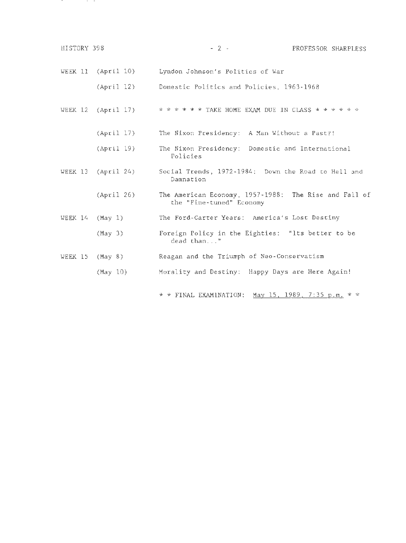| HISTORY 398 |                      | $-2$ $-$<br>PROFESSOR SHARPLESS                                                   |
|-------------|----------------------|-----------------------------------------------------------------------------------|
|             | WEEK 11 $(Apri1 10)$ | Lyndon Johnson's Politics of War                                                  |
|             | (Apri1 12)           | Domestic Politics and Policies, 1963-1968                                         |
|             | WEEK $12$ (April 17) | * * * * * * TAKE HOME EXAM DUE IN CLASS * * * * * *                               |
|             | (Apri1 17)           | The Nixon Presidency: A Man Without a Past?!                                      |
|             | (April 19)           | The Nixon Presidency: Domestic and International<br>Policies                      |
|             | WEEK $13$ (April 24) | Social Trends, 1972-1984: Down the Road to Hell and<br>Damnation                  |
|             | (Apri1 26)           | The American Economy, 1957-1988: The Rise and Fall of<br>the "Fine-tuned" Economy |
|             | WEEK $14$ (May 1)    | The Ford-Carter Years: America's Lost Destiny                                     |
|             | (May <sub>3</sub> )  | Foreign Policy in the Eighties: "Its better to be<br>dead than"                   |
|             | WEEK $15$ (May 8)    | Reagan and the Triumph of Neo-Conservatism                                        |
|             | (May 10)             | Morality and Destiny: Happy Days are Here Again!                                  |

and the con-

**Contractor** 

\* \* FINAL EXAMINATION: May 15, 1989, 7:35 p.m. \* \*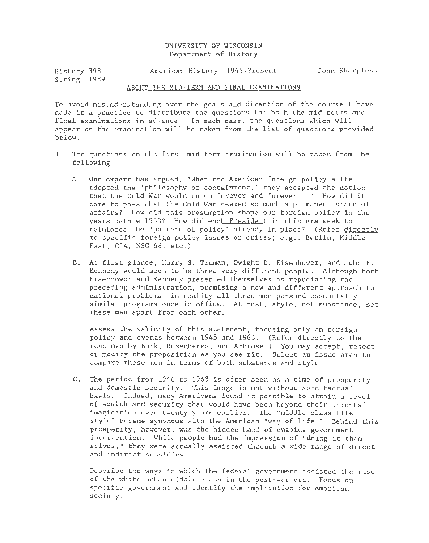## UNIVERSITY OF WISCONSIN Department of History

| History 398  |  | American History, 1945-Present | John Sharpless |
|--------------|--|--------------------------------|----------------|
| Spring, 1989 |  |                                |                |

#### ABOUT THE MID-TERM AND FINAL EXAMINATIONS

To avoid misunderstanding over the goals and direction of the course I have made it a practice to distribute the questions for both the mid-terms and final examinations in advance. In each case, the questions which will appear on the examination will be taken from the list of questions provided below.

- I. The questions on the first mid-term examination will be taken from the following:
	- A. One expert has argued, "When the American foreign policy elite adopted the 'philosophy of containment,' they accepted the notion that the Cold War would go on forever and forever ... " How did it come to pass that the Cold War seemed so much a permanent state of affairs? How did this presumption shape our foreign policy in the years before 1963? How did each President in this era seek to reinforce the "pattern of policy" already in place? (Refer directly to specific foreign policy issues or crises; e.g., Berlin, Middle East, CIA, NSC 68, etc.)
	- B. At first glance, Harry S. Truman, Dwight D. Eisenhower, and John F. Kennedy would seen to be three very different people. Although both Eisenhower and Kennedy presented themselves as repudiating the preceding administration, promising a new and different approach to national problems, in reality all three men pursued essentially similar programs once in office. At most, style, not substance, set these men apart from each other.

Assess the validity of this statement, focusing only on foreign policy and events between 1945 and 1963. (Refer directly to the readings by Burk, Rosenbergs, and Ambrose.) You may accept, reject or modify the proposition as you see fit. Select an issue area to compare these men in terms of both substance and style.

C. The period from 1946 to 1963 is often seen as a time of prosperity and domestic security. This image is not without some factual basis. Indeed, many Americans found it possible to attain a level of wealth and security that would have been beyond their parents' imagination even twenty years earlier. The "middle class life style" became synomous with the American "way of life." Behind this prosperity, however, was the hidden hand of ongoing government intervention. While people had the impression of "doing it themselves," they were actually assisted through a wide range of direct and indirect subsidies.

Describe the ways in which the federal government assisted the rise of the white urban middle class in the post-war era. Focus on specific government and identify the implication for American society.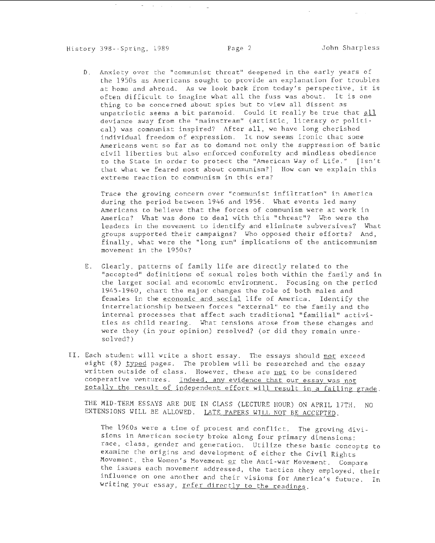History 398--Spring, 1989 Page 2 John Sharpless

 $\mathcal{L}(\mathcal{A})$  and  $\mathcal{L}(\mathcal{A})$  .

D. Anxiety over the "communist threat" deepened in the early years of the 1950s as Americans sought to provide an explanation for troubles at home and abroad. As we look back from today's perspective, it is often difficult to imagine what all the fuss was about. It is one thing to be concerned about spies but to view all dissent as unpatriotic seems a bit paranoid. Could it really be true that all deviance away from the "mainstream" (artistic, literary or political) was communist inspired? After all, we have long cherished individual freedom of expression. It now seems ironic that some Americans went so far as to demand not only the suppression of basic civil liberties but also enforced conformity and mindless obedience to the State in order to protect the "American Way of Life." [Isn't that what we feared most about communism?] How can we explain this extreme reaction to communism in this era?

Trace the growing concern over "communist infiltration" in America during the period between 1946 and 1956. What events led many Americans to believe that the forces of communism were at work in America? What was done to deal with this "threat"? Who were the leaders in the movement to identify and eliminate subversives? What groups supported their campaigns? Who opposed their efforts? And, finally, what were the "long run" implications of the anticommunism movement in the 1950s?

- E. Clearly, patterns of family life are directly related to the "accepted" definitions of sexual roles both within the family and in the larger social and economic environment. Focusing on the period 1945-1960, chart the major changes the role of both males and females in the economic and social life of America. Identify the interrelationship between forces "external" to the family and the internal processes that affect such traditional "familial" activities as child rearing. What tensions arose from these changes and were they (in your opinion) resolved? (or did they remain unresolved?)
- II. Each student will write a short essay. The essays should not exceed eight (8) typed pages. The problem will be researched and the essay written outside of class. However, these are not to be considered cooperative ventures. Indeed. any evidence that our essay was not totally the result of independent effort will result in a failing grade.

THE MID-TERM ESSAYS ARE DUE IN CLASS (LECTURE HOUR) ON APRIL 17TH. NO EXTENSIONS WILL BE ALLOWED. LATE PAPERS WILL NOT BE ACCEPTED.

The 1960s were a time of protest and conflict. The growing divisions in American society broke along four primary dimensions: race, class, gender and generation. Utilize these basic concepts to examine the origins and development of either the Civil Rights Movement, the Women's Movement or the Anti-war Movement. Compare the issues each movement addressed, the tactics they employed, their influence on one another and their visions for America's future. In writing your essay, refer directly to the readings.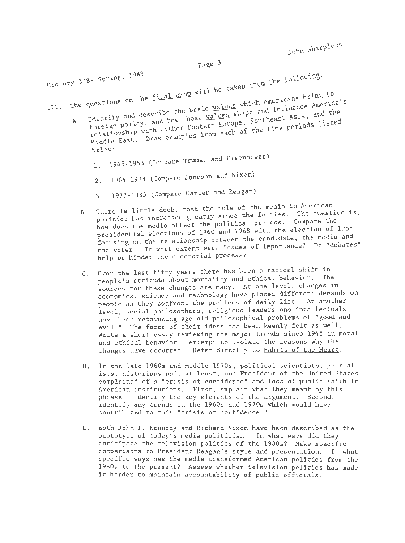John Sharpless

Page 3

History 398--Spring, 1989<br>en will be taken from the following: Ill. The questions on the final exam will be can<br>A. Identify and describe the basic values which Americans bring to<br>A. Identify and describe the basic values shape and influence America's foreign policy, and how those <u>values</u> shape and influence America's<br>relationship with either Eastern Europe, Southeast Asia, and the B. Hiddle East. Draw examples from each of the time periods listed below:  $\mathbf{1}$ . 2. 3. 1945-1953 (Compare Truman and Eisenhower) 1964-1973 (Compare Johnson and Nixon) 1977-1985 (Compare Carter and Reagan) There is little doubt that the role of the media in hmerican. politics has increased greatly since the forties. The question is, how does the media affect the political process. Compare the

- presidential elections of 1960 and 1968 with the election of 1988, .<br>focusing on the relationship between the candidate, the media and the voter. To what extent were issues of importance? Do "debates" help or hinder the electorial process?
- C. Over the last fifty years there has been a radical shift in people's attitude about mortality and ethical behavior. The sources for these changes are many. At one level, changes in economics, science and technology have placed different demands on people as they confront the problems of daily life. At another level, social philosophers, religious leaders and intellectuals have been rethinking age-old philosophical problems of "good and evil." The force of their ideas has been keenly felt as well. Write a short essay reviewing the major trends since 1945 in moral and ethical behavior. Attempt to isolate the reasons why the changes have occurred. Refer directly to Habits of the Heart.
- D. In the late 1960s and middle 1970s, political scientists, journalists, historians and, at least, one Presideut of the United States complained of a "crisis of confidence" and loss of public faith in American institutions. First, explain what they meant by this phrase. Identify the key elements of the argument. Second, i dentify any trends in the 1960s and 1970s which would have contributed to this "crisis of confidence."
- E. Both John F. Kennedy and Richard Nixon have been described as the prototype of today's media politician. In what ways did they anticipate the television politics of the 1980s? Make specific comparisons to President Reagan's style and presentation. In what specific ways has the media transformed American politics from the 1960s to the present? Assess whether television politics has made it harder to maintain accountability of public officials.